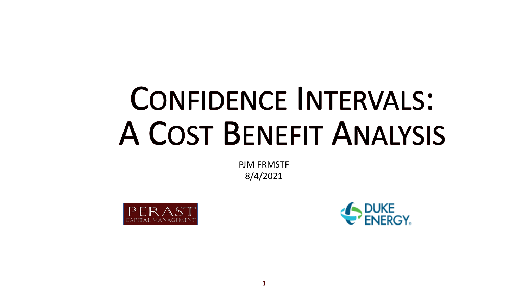# **CONFIDENCE INTERVALS: A COST BENEFIT ANALYSIS**

PJM FRMSTF 8/4/2021



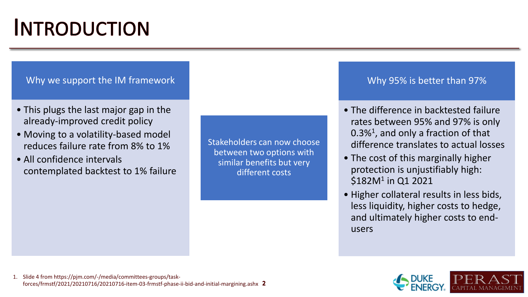### **INTRODUCTION**

### Why we support the IM framework

- This plugs the last major gap in the already-improved credit policy
- Moving to a volatility-based model reduces failure rate from 8% to 1%
- All confidence intervals contemplated backtest to 1% failure

Stakeholders can now choose between two options with similar benefits but very different costs

### Why 95% is better than 97%

- The difference in backtested failure rates between 95% and 97% is only  $0.3\%<sup>1</sup>$ , and only a fraction of that difference translates to actual losses
- The cost of this marginally higher protection is unjustifiably high: \$182M<sup>1</sup> in Q1 2021
- Higher collateral results in less bids, less liquidity, higher costs to hedge, and ultimately higher costs to endusers



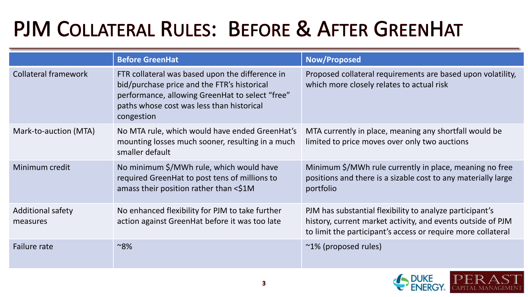### PJM COLLATERAL RULES: BEFORE & AFTER GREENHAT

|                                      | <b>Before GreenHat</b>                                                                                                                                                                                       | <b>Now/Proposed</b>                                                                                                                                                                     |
|--------------------------------------|--------------------------------------------------------------------------------------------------------------------------------------------------------------------------------------------------------------|-----------------------------------------------------------------------------------------------------------------------------------------------------------------------------------------|
| <b>Collateral framework</b>          | FTR collateral was based upon the difference in<br>bid/purchase price and the FTR's historical<br>performance, allowing GreenHat to select "free"<br>paths whose cost was less than historical<br>congestion | Proposed collateral requirements are based upon volatility,<br>which more closely relates to actual risk                                                                                |
| Mark-to-auction (MTA)                | No MTA rule, which would have ended GreenHat's<br>mounting losses much sooner, resulting in a much<br>smaller default                                                                                        | MTA currently in place, meaning any shortfall would be<br>limited to price moves over only two auctions                                                                                 |
| Minimum credit                       | No minimum \$/MWh rule, which would have<br>required GreenHat to post tens of millions to<br>amass their position rather than <\$1M                                                                          | Minimum \$/MWh rule currently in place, meaning no free<br>positions and there is a sizable cost to any materially large<br>portfolio                                                   |
| <b>Additional safety</b><br>measures | No enhanced flexibility for PJM to take further<br>action against GreenHat before it was too late                                                                                                            | PJM has substantial flexibility to analyze participant's<br>history, current market activity, and events outside of PJM<br>to limit the participant's access or require more collateral |
| Failure rate                         | $~8\%$                                                                                                                                                                                                       | ~1% (proposed rules)                                                                                                                                                                    |

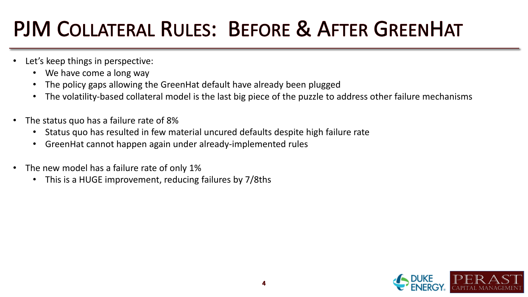### PJM COLLATERAL RULES: BEFORE & AFTER GREENHAT

- Let's keep things in perspective:
	- We have come a long way
	- The policy gaps allowing the GreenHat default have already been plugged
	- The volatility-based collateral model is the last big piece of the puzzle to address other failure mechanisms
- The status quo has a failure rate of 8%
	- Status quo has resulted in few material uncured defaults despite high failure rate
	- GreenHat cannot happen again under already-implemented rules
- The new model has a failure rate of only 1%
	- This is a HUGE improvement, reducing failures by 7/8ths

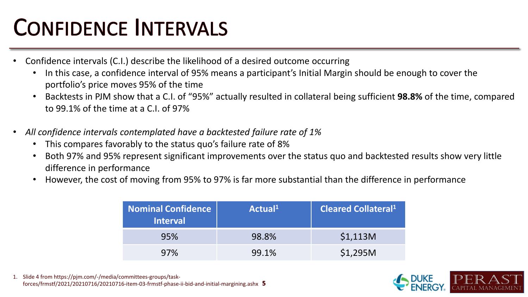### **CONFIDENCE INTERVALS**

- Confidence intervals (C.I.) describe the likelihood of a desired outcome occurring
	- In this case, a confidence interval of 95% means a participant's Initial Margin should be enough to cover the portfolio's price moves 95% of the time
	- Backtests in PJM show that a C.I. of "95%" actually resulted in collateral being sufficient **98.8%** of the time, compared to 99.1% of the time at a C.I. of 97%
- *All confidence intervals contemplated have a backtested failure rate of 1%*
	- This compares favorably to the status quo's failure rate of 8%
	- Both 97% and 95% represent significant improvements over the status quo and backtested results show very little difference in performance
	- However, the cost of moving from 95% to 97% is far more substantial than the difference in performance

| <b>Nominal Confidence</b><br><b>Interval</b> | Actual <sup>1</sup> | <b>Cleared Collateral</b> <sup>1</sup> |  |  |  |
|----------------------------------------------|---------------------|----------------------------------------|--|--|--|
| 95%                                          | 98.8%               | \$1,113M                               |  |  |  |
| 97%                                          | 99.1%               | \$1,295M                               |  |  |  |



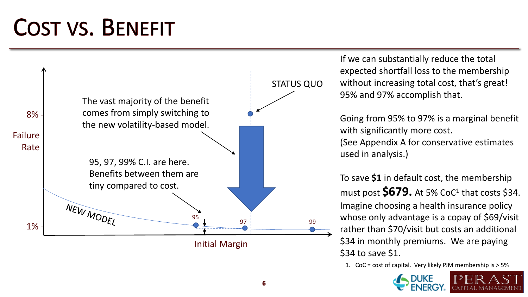### **COST VS. BENEFIT**



If we can substantially reduce the total expected shortfall loss to the membership without increasing total cost, that's great! 95% and 97% accomplish that.

Going from 95% to 97% is a marginal benefit with significantly more cost. (See Appendix A for conservative estimates used in analysis.)

To save **\$1** in default cost, the membership must post  $$679$ . At 5% CoC<sup>1</sup> that costs \$34. Imagine choosing a health insurance policy whose only advantage is a copay of \$69/visit rather than \$70/visit but costs an additional \$34 in monthly premiums. We are paying

1. CoC = cost of capital. Very likely PJM membership is > 5%

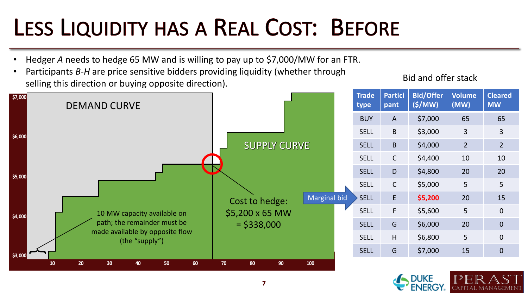# LESS LIQUIDITY HAS A REAL COST: BEFORE

- Hedger *A* needs to hedge 65 MW and is willing to pay up to \$7,000/MW for an FTR.
- Participants *B-H* are price sensitive bidders providing liquidity (whether through selling this direction or buying opposite direction).<br>Selling this direction or buying opposite direction).



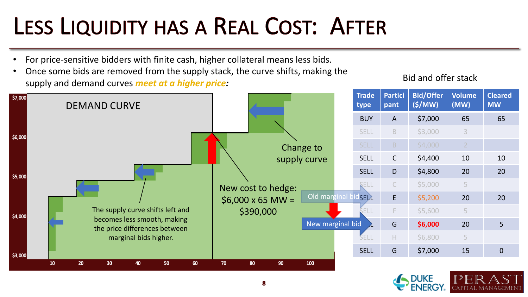# LESS LIQUIDITY HAS A REAL COST: AFTER

- For price-sensitive bidders with finite cash, higher collateral means less bids.
- Once some bids are removed from the supply stack, the curve shifts, making the supply and demand curves *meet at a higher price:*

### **Trade type Partici pant Bid/Offer (\$/MW) Volume (MW) Cleared MW** BUY A \$7,000 65 65 SELL B \$3,000 3  $SELL$   $B$   $\frac{1}{2}$   $\frac{1}{2}$   $\frac{1}{2}$   $\frac{1}{2}$ SELL C \$4,400 10 10 SELL D \$4,800 20 20  $\textsf{SELL}$  C  $\textsf{55,000}$  5 E \$5,200 20 20  $SELL$  F  $$5,600$  5 G **\$6,000** 20 5 SELL H \$6,800 5 SELL | G | \$7,000 | 15 | 0 **\$7,000 \$6,000 \$5,000 \$4,000 \$3,000 10 20 30 40 50 60 70 80 90 100 110** DEMAND CURVE The supply curve shifts left and becomes less smooth, making the price differences between marginal bids higher. Change to supply curve New cost to hedge:  $$6,000 \times 65$  MW = \$390,000 Old marginal bidSELL New marginal bid



Bid and offer stack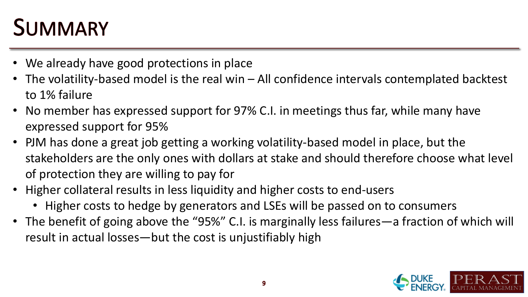## **SUMMARY**

- We already have good protections in place
- The volatility-based model is the real win  $-$  All confidence intervals contemplated backtest to 1% failure
- No member has expressed support for 97% C.I. in meetings thus far, while many have expressed support for 95%
- PJM has done a great job getting a working volatility-based model in place, but the stakeholders are the only ones with dollars at stake and should therefore choose what level of protection they are willing to pay for
- Higher collateral results in less liquidity and higher costs to end-users
	- Higher costs to hedge by generators and LSEs will be passed on to consumers
- The benefit of going above the "95%" C.I. is marginally less failures—a fraction of which will result in actual losses—but the cost is unjustifiably high

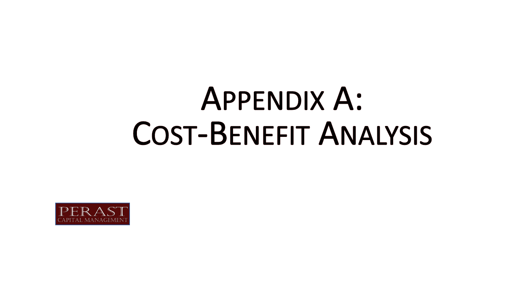# **APPENDIX A: COST-BENEFIT ANALYSIS**

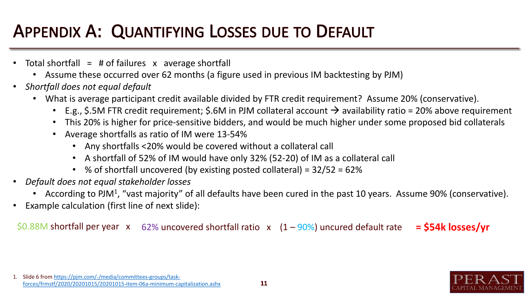### APPENDIX A: QUANTIFYING LOSSES DUE TO DEFAULT

- Total shortfall  $=$  # of failures  $\bar{x}$  average shortfall
	- Assume these occurred over 62 months (a figure used in previous IM backtesting by PJM)
- *Shortfall does not equal default*
	- What is average participant credit available divided by FTR credit requirement? Assume 20% (conservative).
		- E.g., \$.5M FTR credit requirement; \$.6M in PJM collateral account  $\rightarrow$  availability ratio = 20% above requirement
		- This 20% is higher for price-sensitive bidders, and would be much higher under some proposed bid collaterals
		- Average shortfalls as ratio of IM were 13-54%
			- Any shortfalls <20% would be covered without a collateral call
			- A shortfall of 52% of IM would have only 32% (52-20) of IM as a collateral call
			- % of shortfall uncovered (by existing posted collateral) = 32/52 = 62%
- *Default does not equal stakeholder losses*
	- According to PJM<sup>1</sup>, "vast majority" of all defaults have been cured in the past 10 years. Assume 90% (conservative).
- Example calculation (first line of next slide):

\$0.88M shortfall per year x 62% uncovered shortfall ratio x (1 – 90%) uncured default rate **= \$54k losses/yr**

1. Slide 6 from https://pjm.com/-/media/committees-groups/task[forces/frmstf/2020/20201015/20201015-item-06a-minimum-capitalization.ashx](https://pjm.com/-/media/committees-groups/task-forces/frmstf/2020/20201015/20201015-item-06a-minimum-capitalization.ashx)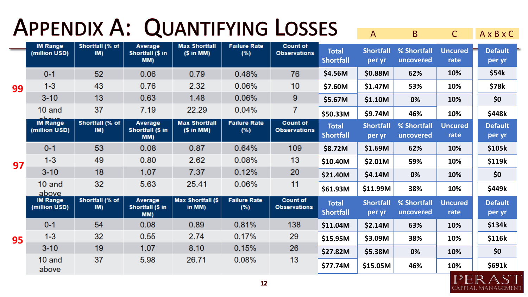## APPENDIX A: QUANTIFYING LOSSES

|    | <b>IM Range</b><br>(million USD) | Shortfall (% of<br>IM) | Average<br>Shortfall (\$ in<br>MM)        | <b>Max Shortfall</b><br>(\$ in MM) | <b>Failure Rate</b><br>(% ) | <b>Count of</b><br><b>Observations</b> | <b>Total</b><br><b>Shortfall</b> | <b>Shortfall</b><br>per yr | % Shortfall<br>uncovered | <b>Uncured</b><br>rate | <b>Default</b><br>per yr |
|----|----------------------------------|------------------------|-------------------------------------------|------------------------------------|-----------------------------|----------------------------------------|----------------------------------|----------------------------|--------------------------|------------------------|--------------------------|
| 99 | $0 - 1$                          | 52                     | 0.06                                      | 0.79                               | 0.48%                       | 76                                     | \$4.56M                          | \$0.88M                    | 62%                      | 10%                    | \$54k                    |
|    | $1 - 3$                          | 43                     | 0.76                                      | 2.32                               | 0.06%                       | 10                                     | \$7.60M                          | \$1.47M                    | 53%                      | 10%                    | \$78k                    |
|    | $3 - 10$                         | 13                     | 0.63                                      | 1.48                               | 0.06%                       | 9                                      | \$5.67M                          | \$1.10M                    | 0%                       | 10%                    | \$0                      |
|    | $10$ and<br>ahoun                | 37                     | 7.19                                      | 22.29                              | 0.04%                       | 7                                      | \$50.33M                         | \$9.74M                    | 46%                      | 10%                    | \$448k                   |
| 97 | <b>IM Range</b><br>(million USD) | Shortfall (% of<br>IM) | <b>Average</b><br>Shortfall (\$ in<br>MM) | <b>Max Shortfall</b><br>(S in MM)  | <b>Failure Rate</b><br>(% ) | <b>Count of</b><br><b>Observations</b> | <b>Total</b><br><b>Shortfall</b> | <b>Shortfall</b><br>per yr | % Shortfall<br>uncovered | <b>Uncured</b><br>rate | <b>Default</b><br>per yr |
|    | $0 - 1$                          | 53                     | 0.08                                      | 0.87                               | 0.64%                       | 109                                    | \$8.72M                          | \$1.69M                    | 62%                      | 10%                    | \$105k                   |
|    | $1 - 3$                          | 49                     | 0.80                                      | 2.62                               | 0.08%                       | 13                                     | \$10.40M                         | \$2.01M                    | 59%                      | 10%                    | \$119k                   |
|    | $3 - 10$                         | 18                     | 1.07                                      | 7.37                               | 0.12%                       | 20                                     | \$21.40M                         | \$4.14M                    | 0%                       | 10%                    | \$0                      |
|    | $10$ and<br>above                | 32                     | 5.63                                      | 25.41                              | 0.06%                       | 11                                     | \$61.93M                         | \$11.99M                   | 38%                      | 10%                    | \$449k                   |
|    | <b>IM Range</b><br>(million USD) | Shortfall (% of<br>IM) | Average<br>Shortfall (\$ in<br>MM)        | <b>Max Shortfall (\$</b><br>in MM) | <b>Failure Rate</b><br>(%)  | <b>Count of</b><br><b>Observations</b> | <b>Total</b><br><b>Shortfall</b> | <b>Shortfall</b><br>per yr | % Shortfall<br>uncovered | <b>Uncured</b><br>rate | <b>Default</b><br>per yr |
| 95 | $0 - 1$                          | 54                     | 0.08                                      | 0.89                               | 0.81%                       | 138                                    | \$11.04M                         | \$2.14M                    | 63%                      | 10%                    | \$134k                   |
|    | $1 - 3$                          | 32                     | 0.55                                      | 2.74                               | 0.17%                       | 29                                     | \$15.95M                         | \$3.09M                    | 38%                      | 10%                    | \$116k                   |
|    | $3 - 10$                         | 19                     | 1.07                                      | 8.10                               | 0.15%                       | 26                                     | \$27.82M                         | \$5.38M                    | 0%                       | 10%                    | \$0                      |
|    | 10 and<br>above                  | 37                     | 5.98                                      | 26.71                              | 0.08%                       | 13                                     | \$77.74M                         | \$15.05M                   | 46%                      | 10%                    | \$691k                   |



**A** B

 $\mathsf{C}$ 

AxBxC